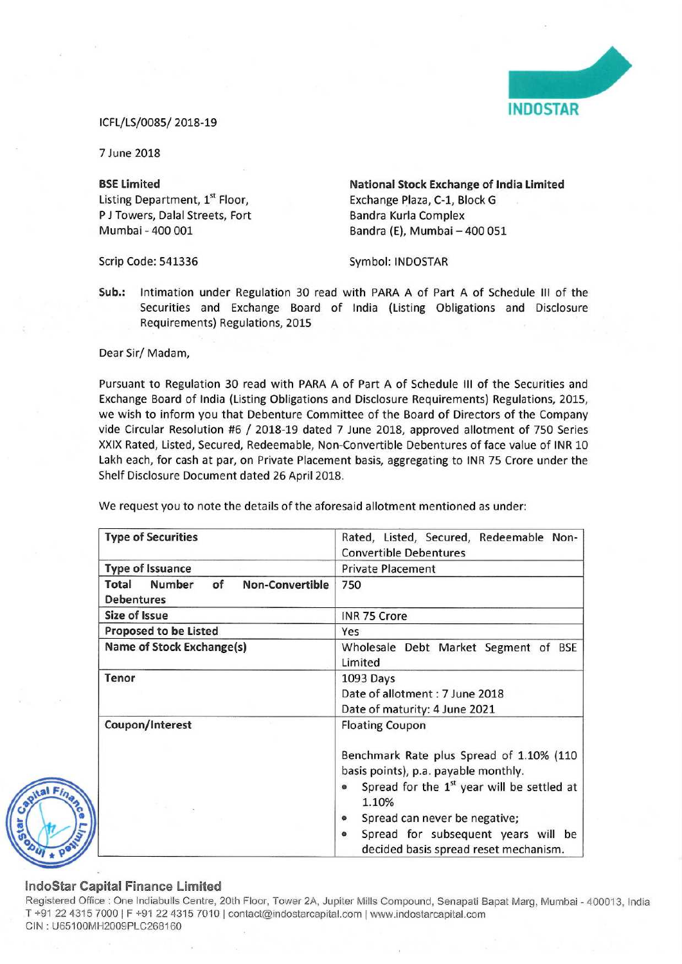

## ICFL/LS/ooss/ 2013-19

7 June 2018

Listing Department, 1<sup>st</sup> Floor, Exchange Plaza, C-1, Block G P J Towers, Dalal Streets, Fort Bandra Kurla Complex<br>
Mumbai - 400 001 Bandra (E). Mumbai -

BSE Limited **National Stock Exchange of India Limited** Bandra (E), Mumbai - 400 051

Scrip Code: 541336 Symbol: INDOSTAR

Sub.: lntimation under Regulation 30 read with PARA <sup>A</sup> of Part A of Schedule III of the Securities and Exchange Board of India (Listing Obligations and Disclosure Requirements) Regulations, 2015

Dear Sir/ Madam,

Pursuant to Regulation 30 read with PARA <sup>A</sup> of Part A of Schedule III of the Securities and Exchange Board of India (Listing Obligations and Disclosure Requirements) Regulations, 2015, we wish to inform you that Debenture Committee of the Board of Directors of the Company vide Circular Resolution #6 / 2018-19 dated <sup>7</sup> June 2018, approved allotment of <sup>750</sup> Series XXIX Rated, Listed, Secured, Redeemable, Non-Convertible Debentures of face value of INR 10 Lakh each, for cash at par, on Private Placement basis, aggregating to INR 75 Crore under the Shelf Disclosure Document dated 26 April 2018.

We request you to note the details of the aforesaid allotment mentioned as under:

| <b>Type of Securities</b>                                                   | Rated, Listed, Secured, Redeemable Non-<br><b>Convertible Debentures</b>                                                                                                                                                                                                                                                              |
|-----------------------------------------------------------------------------|---------------------------------------------------------------------------------------------------------------------------------------------------------------------------------------------------------------------------------------------------------------------------------------------------------------------------------------|
| <b>Type of Issuance</b>                                                     | <b>Private Placement</b>                                                                                                                                                                                                                                                                                                              |
| <b>Number</b><br>of<br><b>Non-Convertible</b><br>Total<br><b>Debentures</b> | 750                                                                                                                                                                                                                                                                                                                                   |
| Size of Issue                                                               | <b>INR 75 Crore</b>                                                                                                                                                                                                                                                                                                                   |
| <b>Proposed to be Listed</b>                                                | Yes                                                                                                                                                                                                                                                                                                                                   |
| Name of Stock Exchange(s)                                                   | Wholesale Debt Market Segment of BSE<br>Limited                                                                                                                                                                                                                                                                                       |
| Tenor                                                                       | 1093 Days<br>Date of allotment : 7 June 2018<br>Date of maturity: 4 June 2021                                                                                                                                                                                                                                                         |
| Coupon/Interest                                                             | <b>Floating Coupon</b><br>Benchmark Rate plus Spread of 1.10% (110<br>basis points), p.a. payable monthly.<br>Spread for the 1 <sup>st</sup> year will be settled at<br>$\bullet$<br>1.10%<br>Spread can never be negative;<br>$\bullet$<br>Spread for subsequent years will be<br>$\bullet$<br>decided basis spread reset mechanism. |

## lndoStar Capital Finance Limited

Registered Office : One Indiabulls Centre, 20th Floor, Tower 2A, Jupiter Mills Compound, Senapati Bapat Marg, Mumbai - 400013, India T +91 22 4315 7000 | F +91 22 4315 7010 | contact@indostarcapital.com | www.indostarcapital.com CIN:U65100MH2009PLC268160